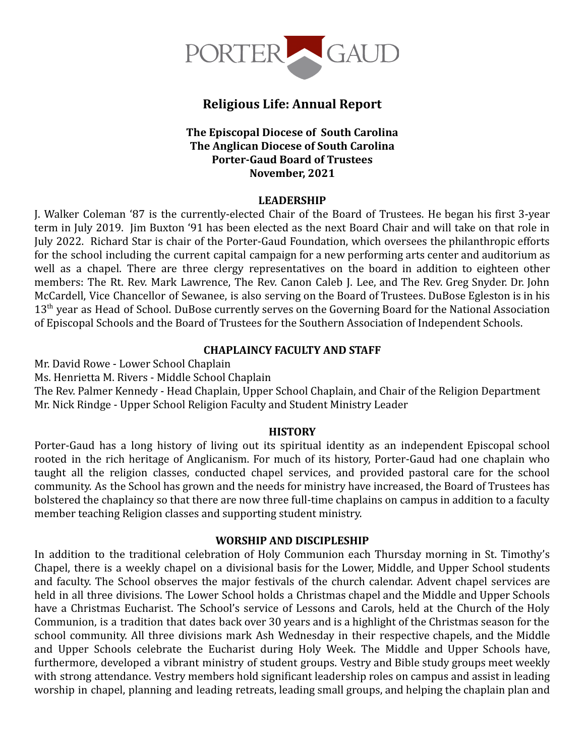

# **Religious Life: Annual Report**

### **The Episcopal Diocese of South Carolina The Anglican Diocese of South Carolina Porter-Gaud Board of Trustees November, 2021**

### **LEADERSHIP**

J. Walker Coleman '87 is the currently-elected Chair of the Board of Trustees. He began his first 3-year term in July 2019. Jim Buxton '91 has been elected as the next Board Chair and will take on that role in July 2022. Richard Star is chair of the Porter-Gaud Foundation, which oversees the philanthropic efforts for the school including the current capital campaign for a new performing arts center and auditorium as well as a chapel. There are three clergy representatives on the board in addition to eighteen other members: The Rt. Rev. Mark Lawrence, The Rev. Canon Caleb J. Lee, and The Rev. Greg Snyder. Dr. John McCardell, Vice Chancellor of Sewanee, is also serving on the Board of Trustees. DuBose Egleston is in his 13<sup>th</sup> year as Head of School. DuBose currently serves on the Governing Board for the National Association of Episcopal Schools and the Board of Trustees for the Southern Association of Independent Schools.

### **CHAPLAINCY FACULTY AND STAFF**

Mr. David Rowe - Lower School Chaplain

Ms. Henrietta M. Rivers - Middle School Chaplain

The Rev. Palmer Kennedy - Head Chaplain, Upper School Chaplain, and Chair of the Religion Department Mr. Nick Rindge - Upper School Religion Faculty and Student Ministry Leader

#### **HISTORY**

Porter-Gaud has a long history of living out its spiritual identity as an independent Episcopal school rooted in the rich heritage of Anglicanism. For much of its history, Porter-Gaud had one chaplain who taught all the religion classes, conducted chapel services, and provided pastoral care for the school community. As the School has grown and the needs for ministry have increased, the Board of Trustees has bolstered the chaplaincy so that there are now three full-time chaplains on campus in addition to a faculty member teaching Religion classes and supporting student ministry.

### **WORSHIP AND DISCIPLESHIP**

In addition to the traditional celebration of Holy Communion each Thursday morning in St. Timothy's Chapel, there is a weekly chapel on a divisional basis for the Lower, Middle, and Upper School students and faculty. The School observes the major festivals of the church calendar. Advent chapel services are held in all three divisions. The Lower School holds a Christmas chapel and the Middle and Upper Schools have a Christmas Eucharist. The School's service of Lessons and Carols, held at the Church of the Holy Communion, is a tradition that dates back over 30 years and is a highlight of the Christmas season for the school community. All three divisions mark Ash Wednesday in their respective chapels, and the Middle and Upper Schools celebrate the Eucharist during Holy Week. The Middle and Upper Schools have, furthermore, developed a vibrant ministry of student groups. Vestry and Bible study groups meet weekly with strong attendance. Vestry members hold significant leadership roles on campus and assist in leading worship in chapel, planning and leading retreats, leading small groups, and helping the chaplain plan and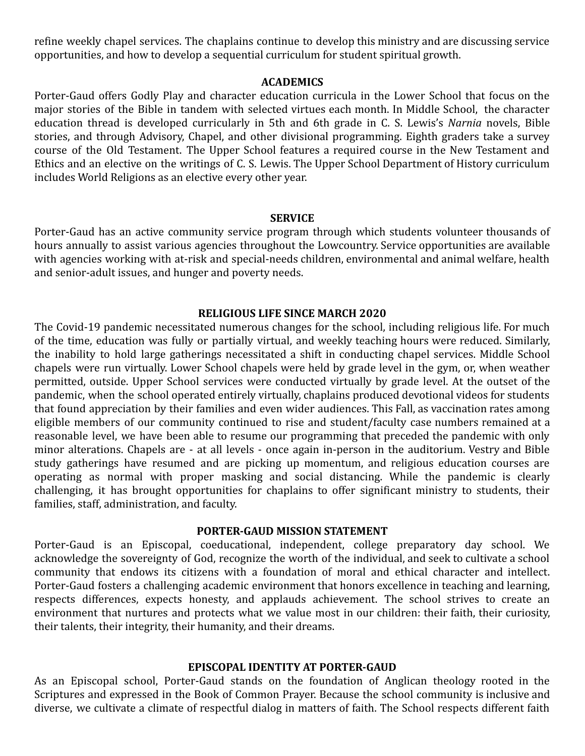refine weekly chapel services. The chaplains continue to develop this ministry and are discussing service opportunities, and how to develop a sequential curriculum for student spiritual growth.

#### **ACADEMICS**

Porter-Gaud offers Godly Play and character education curricula in the Lower School that focus on the major stories of the Bible in tandem with selected virtues each month. In Middle School, the character education thread is developed curricularly in 5th and 6th grade in C. S. Lewis's *Narnia* novels, Bible stories, and through Advisory, Chapel, and other divisional programming. Eighth graders take a survey course of the Old Testament. The Upper School features a required course in the New Testament and Ethics and an elective on the writings of C. S. Lewis. The Upper School Department of History curriculum includes World Religions as an elective every other year.

#### **SERVICE**

Porter-Gaud has an active community service program through which students volunteer thousands of hours annually to assist various agencies throughout the Lowcountry. Service opportunities are available with agencies working with at-risk and special-needs children, environmental and animal welfare, health and senior-adult issues, and hunger and poverty needs.

#### **RELIGIOUS LIFE SINCE MARCH 2020**

The Covid-19 pandemic necessitated numerous changes for the school, including religious life. For much of the time, education was fully or partially virtual, and weekly teaching hours were reduced. Similarly, the inability to hold large gatherings necessitated a shift in conducting chapel services. Middle School chapels were run virtually. Lower School chapels were held by grade level in the gym, or, when weather permitted, outside. Upper School services were conducted virtually by grade level. At the outset of the pandemic, when the school operated entirely virtually, chaplains produced devotional videos for students that found appreciation by their families and even wider audiences. This Fall, as vaccination rates among eligible members of our community continued to rise and student/faculty case numbers remained at a reasonable level, we have been able to resume our programming that preceded the pandemic with only minor alterations. Chapels are - at all levels - once again in-person in the auditorium. Vestry and Bible study gatherings have resumed and are picking up momentum, and religious education courses are operating as normal with proper masking and social distancing. While the pandemic is clearly challenging, it has brought opportunities for chaplains to offer significant ministry to students, their families, staff, administration, and faculty.

#### **PORTER-GAUD MISSION STATEMENT**

Porter-Gaud is an Episcopal, coeducational, independent, college preparatory day school. We acknowledge the sovereignty of God, recognize the worth of the individual, and seek to cultivate a school community that endows its citizens with a foundation of moral and ethical character and intellect. Porter-Gaud fosters a challenging academic environment that honors excellence in teaching and learning, respects differences, expects honesty, and applauds achievement. The school strives to create an environment that nurtures and protects what we value most in our children: their faith, their curiosity, their talents, their integrity, their humanity, and their dreams.

#### **EPISCOPAL IDENTITY AT PORTER-GAUD**

As an Episcopal school, Porter-Gaud stands on the foundation of Anglican theology rooted in the Scriptures and expressed in the Book of Common Prayer. Because the school community is inclusive and diverse, we cultivate a climate of respectful dialog in matters of faith. The School respects different faith